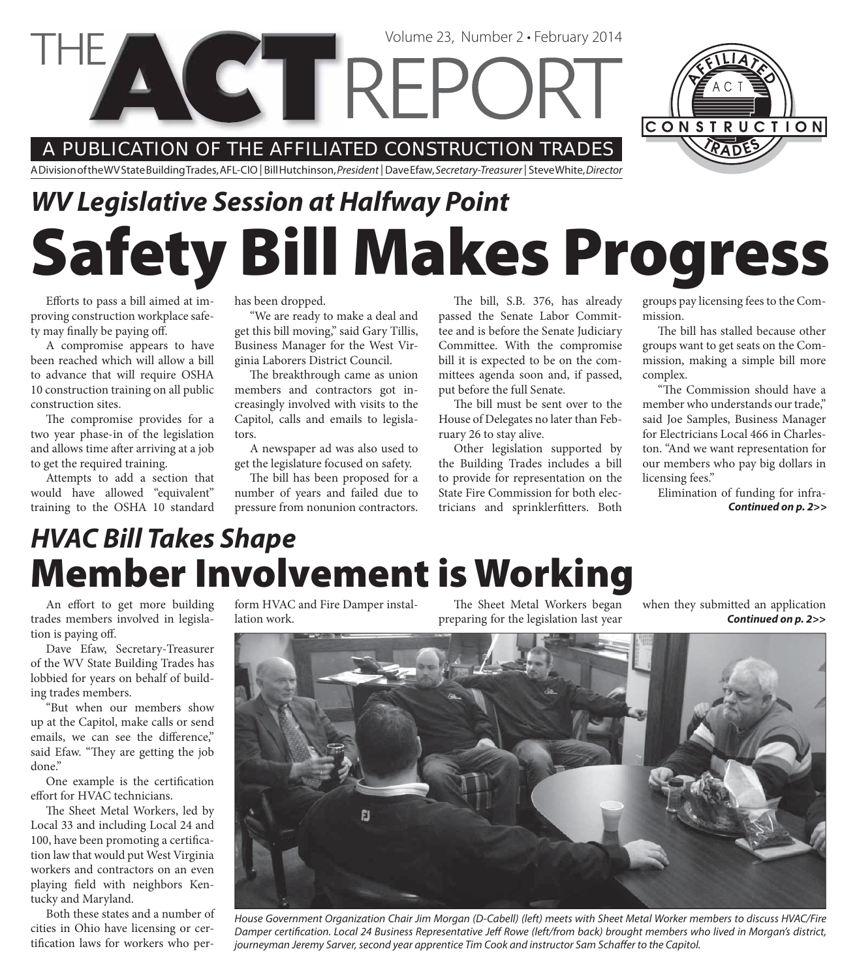

#### A PUBLICATION OF THE AFFILIATED CONSTRUCTION TRADES

A Division of the WV State Building Trades, AFL-CIO | Bill Hutchinson, President | Dave Efaw, Secretary-Treasurer | Steve White, Director

# **Safety Bill Makes Progress** *WV Legislative Session at Halfway Point*

Efforts to pass a bill aimed at improving construction workplace safety may finally be paying off.

A compromise appears to have been reached which will allow a bill to advance that will require OSHA 10 construction training on all public construction sites.

The compromise provides for a two year phase-in of the legislation and allows time after arriving at a job to get the required training.

Attempts to add a section that would have allowed "equivalent" training to the OSHA 10 standard

has been dropped.

"We are ready to make a deal and get this bill moving," said Gary Tillis, Business Manager for the West Virginia Laborers District Council.

The breakthrough came as union members and contractors got increasingly involved with visits to the Capitol, calls and emails to legislators.

A newspaper ad was also used to get the legislature focused on safety.

The bill has been proposed for a number of years and failed due to pressure from nonunion contractors.

The bill, S.B. 376, has already passed the Senate Labor Committee and is before the Senate Judiciary Committee. With the compromise bill it is expected to be on the committees agenda soon and, if passed, put before the full Senate.

The bill must be sent over to the House of Delegates no later than February 26 to stay alive.

Other legislation supported by the Building Trades includes a bill to provide for representation on the State Fire Commission for both electricians and sprinklerfitters. Both groups pay licensing fees to the Commission.

The bill has stalled because other groups want to get seats on the Commission, making a simple bill more complex.

"The Commission should have a member who understands our trade," said Joe Samples, Business Manager for Electricians Local 466 in Charleston. "And we want representation for our members who pay big dollars in licensing fees."

Elimination of funding for infra-*Continued on p. 2>>*

## **Member Involvement is Working** *HVAC Bill Takes Shape*

An effort to get more building trades members involved in legislation is paying off.

Dave Efaw, Secretary-Treasurer of the WV State Building Trades has lobbied for years on behalf of building trades members.

"But when our members show up at the Capitol, make calls or send emails, we can see the difference," said Efaw. "They are getting the job done."

One example is the certification effort for HVAC technicians.

The Sheet Metal Workers, led by Local 33 and including Local 24 and 100, have been promoting a certification law that would put West Virginia workers and contractors on an even playing field with neighbors Kentucky and Maryland.

Both these states and a number of cities in Ohio have licensing or certification laws for workers who per-

form HVAC and Fire Damper installation work.

The Sheet Metal Workers began preparing for the legislation last year

*Continued on p. 2>>* when they submitted an application



House Government Organization Chair Jim Morgan (D-Cabell) (left) meets with Sheet Metal Worker members to discuss HVAC/Fire Damper certification. Local 24 Business Representative Jeff Rowe (left/from back) brought members who lived in Morgan's district, journeyman Jeremy Sarver, second year apprentice Tim Cook and instructor Sam Schaffer to the Capitol.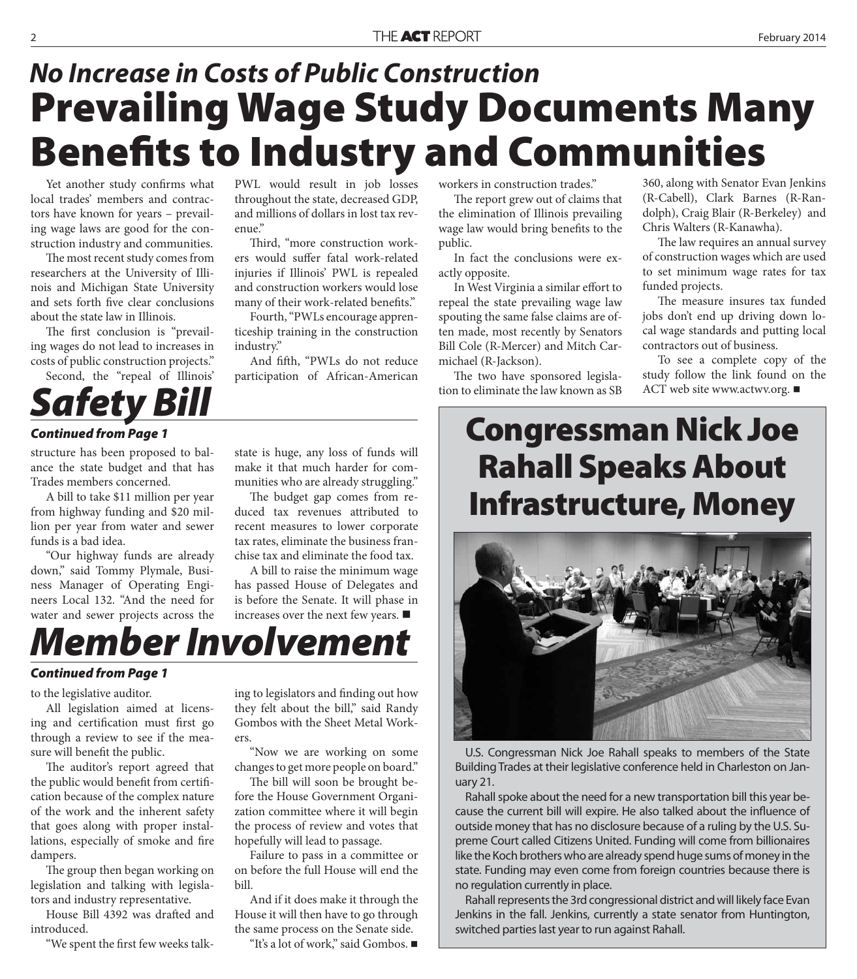## **Prevailing Wage Study Documents Many Benefits to Industry and Communities** *No Increase in Costs of Public Construction*

Yet another study confirms what local trades' members and contractors have known for years – prevailing wage laws are good for the construction industry and communities.

The most recent study comes from researchers at the University of Illinois and Michigan State University and sets forth five clear conclusions about the state law in Illinois.

The first conclusion is "prevailing wages do not lead to increases in costs of public construction projects." Second, the "repeal of Illinois'

# *atety Bi*

#### *Continued from Page 1*

structure has been proposed to balance the state budget and that has Trades members concerned.

A bill to take \$11 million per year from highway funding and \$20 million per year from water and sewer funds is a bad idea.

"Our highway funds are already down," said Tommy Plymale, Business Manager of Operating Engineers Local 132. "And the need for water and sewer projects across the

PWL would result in job losses throughout the state, decreased GDP, and millions of dollars in lost tax revenue."

Third, "more construction workers would suffer fatal work-related injuries if Illinois' PWL is repealed and construction workers would lose many of their work-related benefits."

Fourth, "PWLs encourage apprenticeship training in the construction industry."

And fifth, "PWLs do not reduce participation of African-American

workers in construction trades."

The report grew out of claims that the elimination of Illinois prevailing wage law would bring benefits to the public.

In fact the conclusions were exactly opposite.

In West Virginia a similar effort to repeal the state prevailing wage law spouting the same false claims are often made, most recently by Senators Bill Cole (R-Mercer) and Mitch Carmichael (R-Jackson).

The two have sponsored legislation to eliminate the law known as SB 360, along with Senator Evan Jenkins (R-Cabell), Clark Barnes (R-Randolph), Craig Blair (R-Berkeley) and Chris Walters (R-Kanawha).

The law requires an annual survey of construction wages which are used to set minimum wage rates for tax funded projects.

The measure insures tax funded jobs don't end up driving down local wage standards and putting local contractors out of business.

To see a complete copy of the study follow the link found on the ACT web site www.actwv.org. ■

### **Congressman Nick Joe Rahall Speaks About Infrastructure, Money**



U.S. Congressman Nick Joe Rahall speaks to members of the State Building Trades at their legislative conference held in Charleston on January 21.

Rahall spoke about the need for a new transportation bill this year because the current bill will expire. He also talked about the influence of outside money that has no disclosure because of a ruling by the U.S. Supreme Court called Citizens United. Funding will come from billionaires like the Koch brothers who are already spend huge sums of money in the state. Funding may even come from foreign countries because there is no regulation currently in place.

Rahall represents the 3rd congressional district and will likely face Evan Jenkins in the fall. Jenkins, currently a state senator from Huntington, switched parties last year to run against Rahall.

state is huge, any loss of funds will make it that much harder for communities who are already struggling."

The budget gap comes from reduced tax revenues attributed to recent measures to lower corporate tax rates, eliminate the business franchise tax and eliminate the food tax.

A bill to raise the minimum wage has passed House of Delegates and is before the Senate. It will phase in increases over the next few years.

# *Member Involvement*

#### *Continued from Page 1*

to the legislative auditor.

All legislation aimed at licensing and certification must first go through a review to see if the measure will benefit the public.

The auditor's report agreed that the public would benefit from certification because of the complex nature of the work and the inherent safety that goes along with proper installations, especially of smoke and fire dampers.

The group then began working on legislation and talking with legislators and industry representative.

House Bill 4392 was drafted and introduced.

"We spent the first few weeks talk-

ing to legislators and finding out how they felt about the bill," said Randy Gombos with the Sheet Metal Workers.

"Now we are working on some changes to get more people on board."

The bill will soon be brought before the House Government Organization committee where it will begin the process of review and votes that hopefully will lead to passage.

Failure to pass in a committee or on before the full House will end the bill.

And if it does make it through the House it will then have to go through the same process on the Senate side.

"It's a lot of work," said Gombos.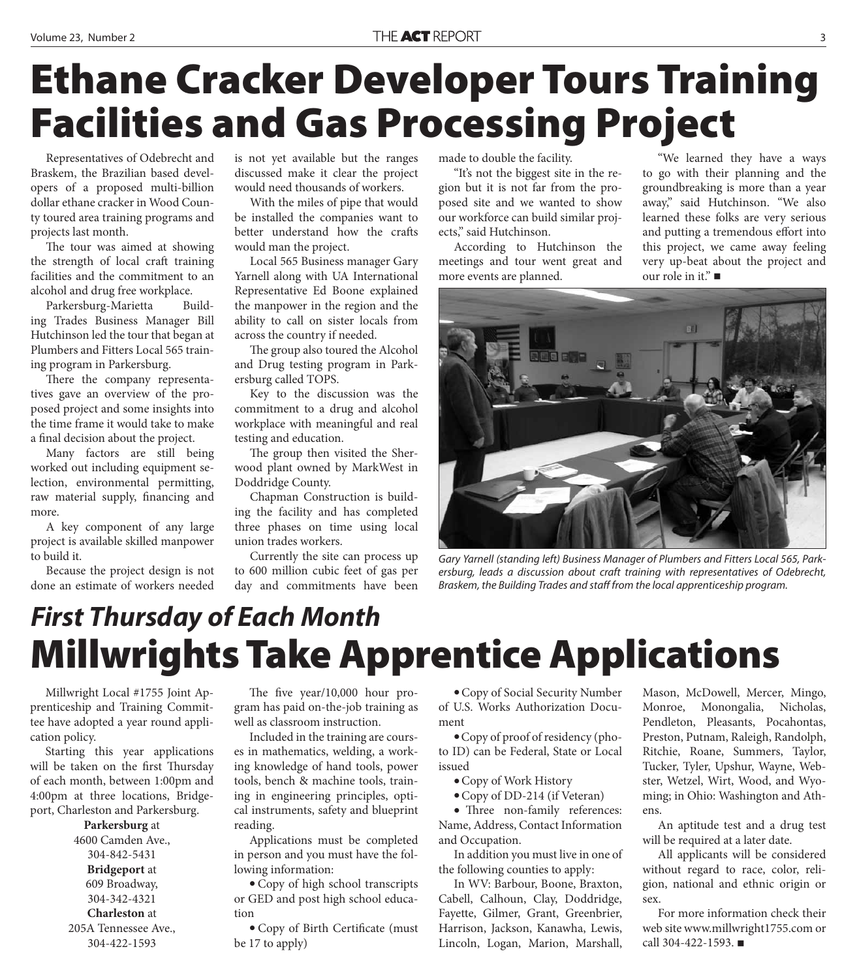# **Ethane Cracker Developer Tours Training Facilities and Gas Processing Project**

Representatives of Odebrecht and Braskem, the Brazilian based developers of a proposed multi-billion dollar ethane cracker in Wood County toured area training programs and projects last month.

The tour was aimed at showing the strength of local craft training facilities and the commitment to an alcohol and drug free workplace.

Parkersburg-Marietta Building Trades Business Manager Bill Hutchinson led the tour that began at Plumbers and Fitters Local 565 training program in Parkersburg.

There the company representatives gave an overview of the proposed project and some insights into the time frame it would take to make a final decision about the project.

Many factors are still being worked out including equipment selection, environmental permitting, raw material supply, financing and more.

A key component of any large project is available skilled manpower to build it.

Because the project design is not done an estimate of workers needed is not yet available but the ranges discussed make it clear the project would need thousands of workers.

With the miles of pipe that would be installed the companies want to better understand how the crafts would man the project.

Local 565 Business manager Gary Yarnell along with UA International Representative Ed Boone explained the manpower in the region and the ability to call on sister locals from across the country if needed.

The group also toured the Alcohol and Drug testing program in Parkersburg called TOPS.

Key to the discussion was the commitment to a drug and alcohol workplace with meaningful and real testing and education.

The group then visited the Sherwood plant owned by MarkWest in Doddridge County.

Chapman Construction is building the facility and has completed three phases on time using local union trades workers.

Currently the site can process up to 600 million cubic feet of gas per day and commitments have been

made to double the facility.

"It's not the biggest site in the region but it is not far from the proposed site and we wanted to show our workforce can build similar projects," said Hutchinson.

According to Hutchinson the meetings and tour went great and more events are planned.

"We learned they have a ways to go with their planning and the groundbreaking is more than a year away," said Hutchinson. "We also learned these folks are very serious and putting a tremendous effort into this project, we came away feeling very up-beat about the project and our role in it." ■



Gary Yarnell (standing left) Business Manager of Plumbers and Fitters Local 565, Parkersburg, leads a discussion about craft training with representatives of Odebrecht, Braskem, the Building Trades and staff from the local apprenticeship program.

## **Millwrights Take Apprentice Applications** *First Thursday of Each Month*

Millwright Local #1755 Joint Apprenticeship and Training Committee have adopted a year round application policy.

Starting this year applications will be taken on the first Thursday of each month, between 1:00pm and 4:00pm at three locations, Bridgeport, Charleston and Parkersburg.

#### **Parkersburg** at

4600 Camden Ave., 304-842-5431 **Bridgeport** at 609 Broadway, 304-342-4321

**Charleston** at 205A Tennessee Ave., 304-422-1593

The five  $year/10,000$  hour program has paid on-the-job training as well as classroom instruction.

Included in the training are courses in mathematics, welding, a working knowledge of hand tools, power tools, bench & machine tools, training in engineering principles, optical instruments, safety and blueprint reading.

Applications must be completed in person and you must have the following information:

 Copy of high school transcripts or GED and post high school education

• Copy of Birth Certificate (must be 17 to apply)

 Copy of Social Security Number of U.S. Works Authorization Document

 Copy of proof of residency (photo ID) can be Federal, State or Local issued

Copy of Work History

Copy of DD-214 (if Veteran)

• Three non-family references: Name, Address, Contact Information and Occupation.

In addition you must live in one of the following counties to apply:

In WV: Barbour, Boone, Braxton, Cabell, Calhoun, Clay, Doddridge, Fayette, Gilmer, Grant, Greenbrier, Harrison, Jackson, Kanawha, Lewis, Lincoln, Logan, Marion, Marshall,

Mason, McDowell, Mercer, Mingo, Monroe, Monongalia, Nicholas, Pendleton, Pleasants, Pocahontas, Preston, Putnam, Raleigh, Randolph, Ritchie, Roane, Summers, Taylor, Tucker, Tyler, Upshur, Wayne, Webster, Wetzel, Wirt, Wood, and Wyoming; in Ohio: Washington and Athens.

An aptitude test and a drug test will be required at a later date.

All applicants will be considered without regard to race, color, religion, national and ethnic origin or  $\epsilon \rho v$ 

For more information check their web site www.millwright1755.com or call 304-422-1593.